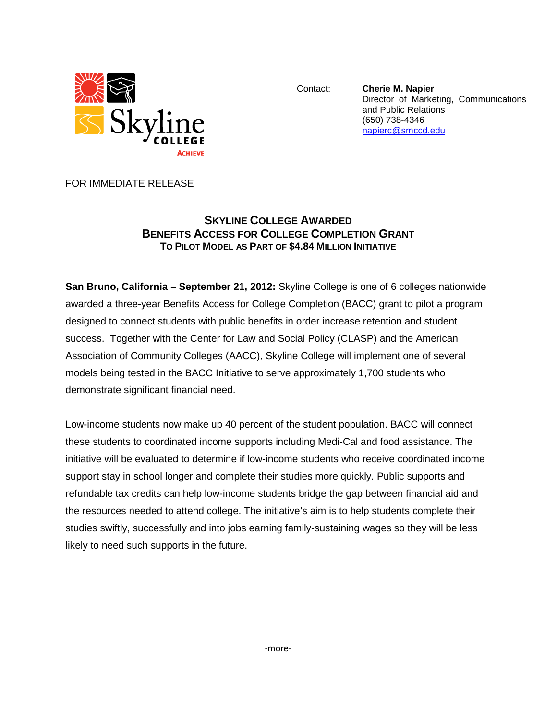

Contact: **Cherie M. Napier** Director of Marketing, Communications and Public Relations (650) 738-4346 [napierc@smccd.edu](mailto:napierc@smccd.edu)

FOR IMMEDIATE RELEASE

## **SKYLINE COLLEGE AWARDED BENEFITS ACCESS FOR COLLEGE COMPLETION GRANT TO PILOT MODEL AS PART OF \$4.84 MILLION INITIATIVE**

**San Bruno, California – September 21, 2012:** Skyline College is one of 6 colleges nationwide awarded a three-year Benefits Access for College Completion (BACC) grant to pilot a program designed to connect students with public benefits in order increase retention and student success. Together with the Center for Law and Social Policy (CLASP) and the American Association of Community Colleges (AACC), Skyline College will implement one of several models being tested in the BACC Initiative to serve approximately 1,700 students who demonstrate significant financial need.

Low-income students now make up 40 percent of the student population. BACC will connect these students to coordinated income supports including Medi-Cal and food assistance. The initiative will be evaluated to determine if low-income students who receive coordinated income support stay in school longer and complete their studies more quickly. Public supports and refundable tax credits can help low-income students bridge the gap between financial aid and the resources needed to attend college. The initiative's aim is to help students complete their studies swiftly, successfully and into jobs earning family-sustaining wages so they will be less likely to need such supports in the future.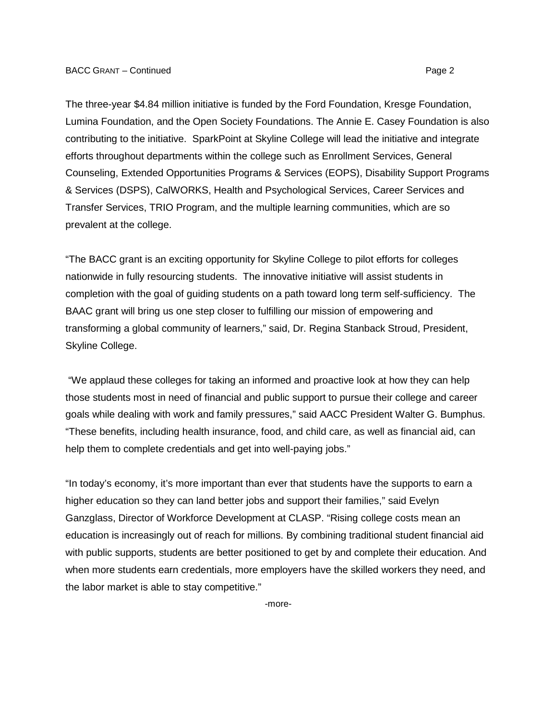The three-year \$4.84 million initiative is funded by the Ford Foundation, Kresge Foundation, Lumina Foundation, and the Open Society Foundations. The Annie E. Casey Foundation is also contributing to the initiative. SparkPoint at Skyline College will lead the initiative and integrate efforts throughout departments within the college such as Enrollment Services, General Counseling, Extended Opportunities Programs & Services (EOPS), Disability Support Programs & Services (DSPS), CalWORKS, Health and Psychological Services, Career Services and Transfer Services, TRIO Program, and the multiple learning communities, which are so prevalent at the college.

"The BACC grant is an exciting opportunity for Skyline College to pilot efforts for colleges nationwide in fully resourcing students. The innovative initiative will assist students in completion with the goal of guiding students on a path toward long term self-sufficiency. The BAAC grant will bring us one step closer to fulfilling our mission of empowering and transforming a global community of learners," said, Dr. Regina Stanback Stroud, President, Skyline College.

"We applaud these colleges for taking an informed and proactive look at how they can help those students most in need of financial and public support to pursue their college and career goals while dealing with work and family pressures," said AACC President Walter G. Bumphus. "These benefits, including health insurance, food, and child care, as well as financial aid, can help them to complete credentials and get into well-paying jobs."

"In today's economy, it's more important than ever that students have the supports to earn a higher education so they can land better jobs and support their families," said Evelyn Ganzglass, Director of Workforce Development at CLASP. "Rising college costs mean an education is increasingly out of reach for millions. By combining traditional student financial aid with public supports, students are better positioned to get by and complete their education. And when more students earn credentials, more employers have the skilled workers they need, and the labor market is able to stay competitive."

-more-